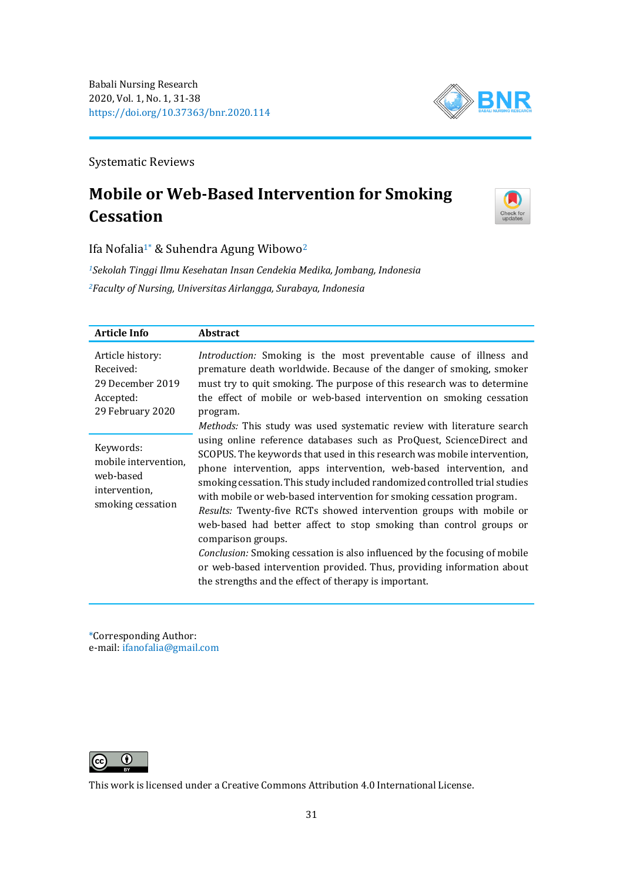

Systematic Reviews

# **Mobile or Web-Based Intervention for Smoking Cessation**



Ifa Nofalia1\* & Suhendra Agung Wibowo<sup>2</sup>

*<sup>1</sup>Sekolah Tinggi Ilmu Kesehatan Insan Cendekia Medika, Jombang, Indonesia <sup>2</sup>Faculty of Nursing, Universitas Airlangga, Surabaya, Indonesia*

| <b>Article Info</b>                                                                  | <b>Abstract</b>                                                                                                                                                                                                                                                                                                                                                                                                                                                                                                                                                                                                                                                                                                                                                                                                                                                                                                                                                                                                                                                                                                                                            |
|--------------------------------------------------------------------------------------|------------------------------------------------------------------------------------------------------------------------------------------------------------------------------------------------------------------------------------------------------------------------------------------------------------------------------------------------------------------------------------------------------------------------------------------------------------------------------------------------------------------------------------------------------------------------------------------------------------------------------------------------------------------------------------------------------------------------------------------------------------------------------------------------------------------------------------------------------------------------------------------------------------------------------------------------------------------------------------------------------------------------------------------------------------------------------------------------------------------------------------------------------------|
| Article history:<br>Received:<br>29 December 2019<br>Accepted:<br>29 February 2020   | Introduction: Smoking is the most preventable cause of illness and<br>premature death worldwide. Because of the danger of smoking, smoker<br>must try to quit smoking. The purpose of this research was to determine<br>the effect of mobile or web-based intervention on smoking cessation<br>program.<br>Methods: This study was used systematic review with literature search<br>using online reference databases such as ProQuest, ScienceDirect and<br>SCOPUS. The keywords that used in this research was mobile intervention,<br>phone intervention, apps intervention, web-based intervention, and<br>smoking cessation. This study included randomized controlled trial studies<br>with mobile or web-based intervention for smoking cessation program.<br><i>Results:</i> Twenty-five RCTs showed intervention groups with mobile or<br>web-based had better affect to stop smoking than control groups or<br>comparison groups.<br>Conclusion: Smoking cessation is also influenced by the focusing of mobile<br>or web-based intervention provided. Thus, providing information about<br>the strengths and the effect of therapy is important. |
| Keywords:<br>mobile intervention.<br>web-based<br>intervention,<br>smoking cessation |                                                                                                                                                                                                                                                                                                                                                                                                                                                                                                                                                                                                                                                                                                                                                                                                                                                                                                                                                                                                                                                                                                                                                            |

\*Corresponding Author: e-mail: [ifanofalia@gmail.com](mailto:ifanofalia@gmail.com)



This work is licensed under a [Creative Commons Attribution 4.0 International License.](https://creativecommons.org/licenses/by/4.0/)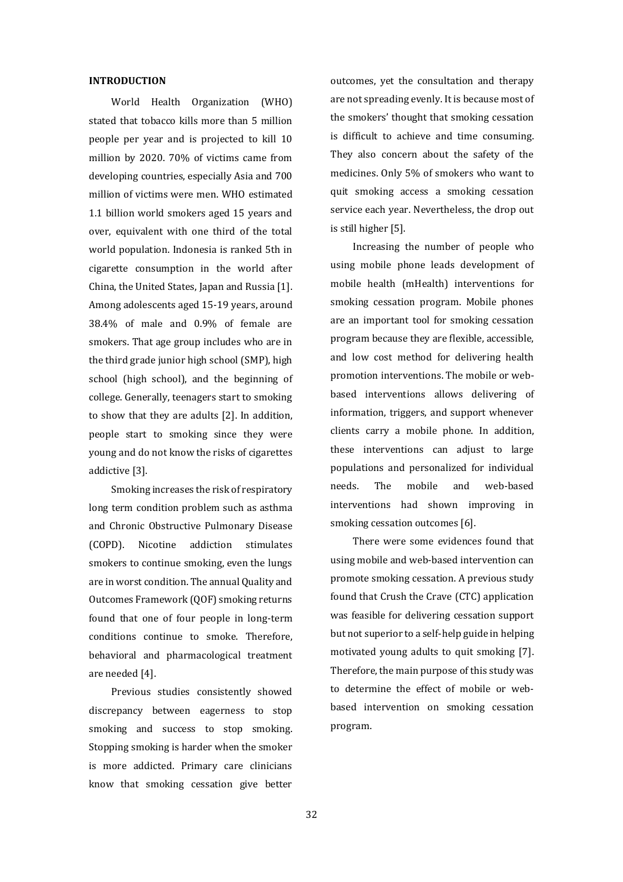## **INTRODUCTION**

World Health Organization (WHO) stated that tobacco kills more than 5 million people per year and is projected to kill 10 million by 2020. 70% of victims came from developing countries, especially Asia and 700 million of victims were men. WHO estimated 1.1 billion world smokers aged 15 years and over, equivalent with one third of the total world population. Indonesia is ranked 5th in cigarette consumption in the world after China, the United States, Japan and Russia [1]. Among adolescents aged 15-19 years, around 38.4% of male and 0.9% of female are smokers. That age group includes who are in the third grade junior high school (SMP), high school (high school), and the beginning of college. Generally, teenagers start to smoking to show that they are adults [2]. In addition, people start to smoking since they were young and do not know the risks of cigarettes addictive [3].

Smoking increases the risk of respiratory long term condition problem such as asthma and Chronic Obstructive Pulmonary Disease (COPD). Nicotine addiction stimulates smokers to continue smoking, even the lungs are in worst condition. The annual Quality and Outcomes Framework (QOF) smoking returns found that one of four people in long-term conditions continue to smoke. Therefore, behavioral and pharmacological treatment are needed [4].

Previous studies consistently showed discrepancy between eagerness to stop smoking and success to stop smoking. Stopping smoking is harder when the smoker is more addicted. Primary care clinicians know that smoking cessation give better outcomes, yet the consultation and therapy are not spreading evenly. It is because most of the smokers' thought that smoking cessation is difficult to achieve and time consuming. They also concern about the safety of the medicines. Only 5% of smokers who want to quit smoking access a smoking cessation service each year. Nevertheless, the drop out is still higher [5].

Increasing the number of people who using mobile phone leads development of mobile health (mHealth) interventions for smoking cessation program. Mobile phones are an important tool for smoking cessation program because they are flexible, accessible, and low cost method for delivering health promotion interventions. The mobile or webbased interventions allows delivering of information, triggers, and support whenever clients carry a mobile phone. In addition, these interventions can adjust to large populations and personalized for individual needs. The mobile and web-based interventions had shown improving in smoking cessation outcomes [6].

There were some evidences found that using mobile and web-based intervention can promote smoking cessation. A previous study found that Crush the Crave (CTC) application was feasible for delivering cessation support but not superior to a self-help guide in helping motivated young adults to quit smoking [7]. Therefore, the main purpose of this study was to determine the effect of mobile or webbased intervention on smoking cessation program.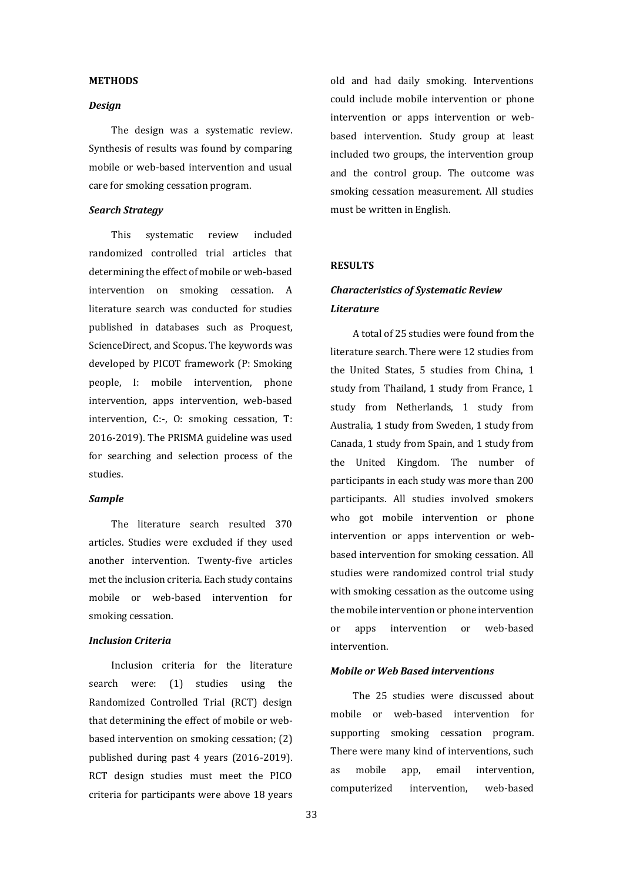## **METHODS**

#### *Design*

The design was a systematic review. Synthesis of results was found by comparing mobile or web-based intervention and usual care for smoking cessation program.

## *Search Strategy*

This systematic review included randomized controlled trial articles that determining the effect of mobile or web-based intervention on smoking cessation. A literature search was conducted for studies published in databases such as Proquest, ScienceDirect, and Scopus. The keywords was developed by PICOT framework (P: Smoking people, I: mobile intervention, phone intervention, apps intervention, web-based intervention, C:-, O: smoking cessation, T: 2016-2019). The PRISMA guideline was used for searching and selection process of the studies.

# *Sample*

The literature search resulted 370 articles. Studies were excluded if they used another intervention. Twenty-five articles met the inclusion criteria. Each study contains mobile or web-based intervention for smoking cessation.

# *Inclusion Criteria*

Inclusion criteria for the literature search were: (1) studies using the Randomized Controlled Trial (RCT) design that determining the effect of mobile or webbased intervention on smoking cessation; (2) published during past 4 years (2016-2019). RCT design studies must meet the PICO criteria for participants were above 18 years

old and had daily smoking. Interventions could include mobile intervention or phone intervention or apps intervention or webbased intervention. Study group at least included two groups, the intervention group and the control group. The outcome was smoking cessation measurement. All studies must be written in English.

#### **RESULTS**

# *Characteristics of Systematic Review Literature*

A total of 25 studies were found from the literature search. There were 12 studies from the United States, 5 studies from China, 1 study from Thailand, 1 study from France, 1 study from Netherlands, 1 study from Australia, 1 study from Sweden, 1 study from Canada, 1 study from Spain, and 1 study from the United Kingdom. The number of participants in each study was more than 200 participants. All studies involved smokers who got mobile intervention or phone intervention or apps intervention or webbased intervention for smoking cessation. All studies were randomized control trial study with smoking cessation as the outcome using the mobile intervention or phone intervention or apps intervention or web-based intervention.

# *Mobile or Web Based interventions*

The 25 studies were discussed about mobile or web-based intervention for supporting smoking cessation program. There were many kind of interventions, such as mobile app, email intervention, computerized intervention, web-based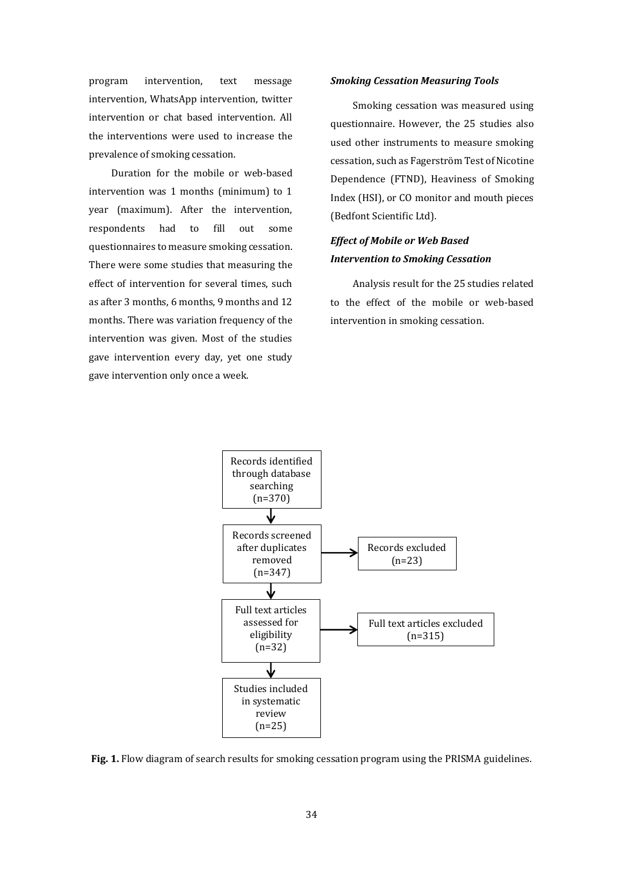program intervention, text message intervention, WhatsApp intervention, twitter intervention or chat based intervention. All the interventions were used to increase the prevalence of smoking cessation.

Duration for the mobile or web-based intervention was 1 months (minimum) to 1 year (maximum). After the intervention, respondents had to fill out some questionnaires to measure smoking cessation. There were some studies that measuring the effect of intervention for several times, such as after 3 months, 6 months, 9 months and 12 months. There was variation frequency of the intervention was given. Most of the studies gave intervention every day, yet one study gave intervention only once a week.

#### *Smoking Cessation Measuring Tools*

Smoking cessation was measured using questionnaire. However, the 25 studies also used other instruments to measure smoking cessation, such as Fagerström Test of Nicotine Dependence (FTND), Heaviness of Smoking Index (HSI), or CO monitor and mouth pieces (Bedfont Scientific Ltd).

# *Effect of Mobile or Web Based Intervention to Smoking Cessation*

Analysis result for the 25 studies related to the effect of the mobile or web-based intervention in smoking cessation.



**Fig. 1.** Flow diagram of search results for smoking cessation program using the PRISMA guidelines.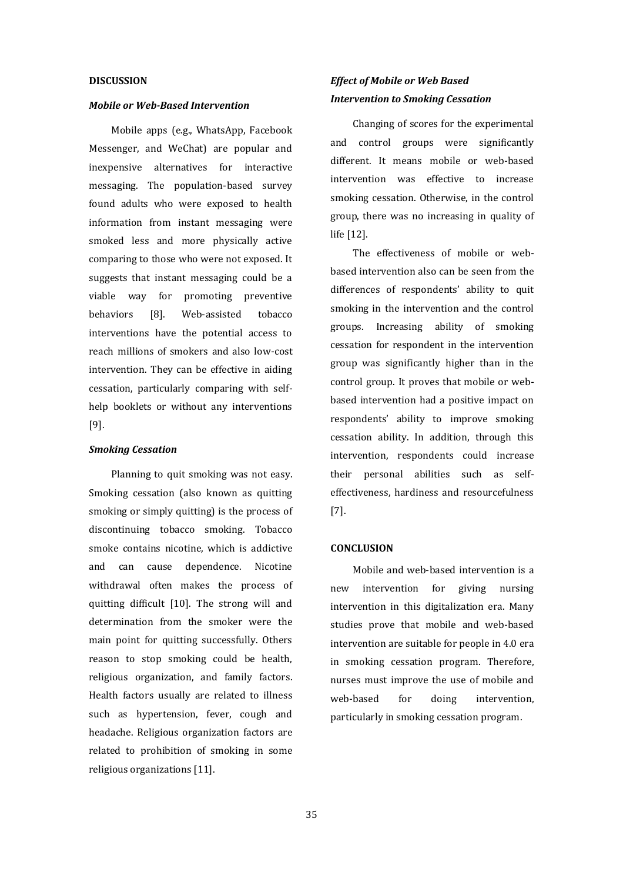# **DISCUSSION**

#### *Mobile or Web-Based Intervention*

Mobile apps (e.g., WhatsApp, Facebook Messenger, and WeChat) are popular and inexpensive alternatives for interactive messaging. The population-based survey found adults who were exposed to health information from instant messaging were smoked less and more physically active comparing to those who were not exposed. It suggests that instant messaging could be a viable way for promoting preventive behaviors [8]. Web-assisted tobacco interventions have the potential access to reach millions of smokers and also low-cost intervention. They can be effective in aiding cessation, particularly comparing with selfhelp booklets or without any interventions [9].

#### *Smoking Cessation*

Planning to quit smoking was not easy. Smoking cessation (also known as quitting smoking or simply quitting) is the process of discontinuing tobacco smoking. Tobacco smoke contains nicotine, which is addictive and can cause dependence. Nicotine withdrawal often makes the process of quitting difficult [10]. The strong will and determination from the smoker were the main point for quitting successfully. Others reason to stop smoking could be health, religious organization, and family factors. Health factors usually are related to illness such as hypertension, fever, cough and headache. Religious organization factors are related to prohibition of smoking in some religious organizations [11].

# *Effect of Mobile or Web Based Intervention to Smoking Cessation*

Changing of scores for the experimental and control groups were significantly different. It means mobile or web-based intervention was effective to increase smoking cessation. Otherwise, in the control group, there was no increasing in quality of life [12].

The effectiveness of mobile or webbased intervention also can be seen from the differences of respondents' ability to quit smoking in the intervention and the control groups. Increasing ability of smoking cessation for respondent in the intervention group was significantly higher than in the control group. It proves that mobile or webbased intervention had a positive impact on respondents' ability to improve smoking cessation ability. In addition, through this intervention, respondents could increase their personal abilities such as selfeffectiveness, hardiness and resourcefulness [7].

## **CONCLUSION**

Mobile and web-based intervention is a new intervention for giving nursing intervention in this digitalization era. Many studies prove that mobile and web-based intervention are suitable for people in 4.0 era in smoking cessation program. Therefore, nurses must improve the use of mobile and web-based for doing intervention, particularly in smoking cessation program.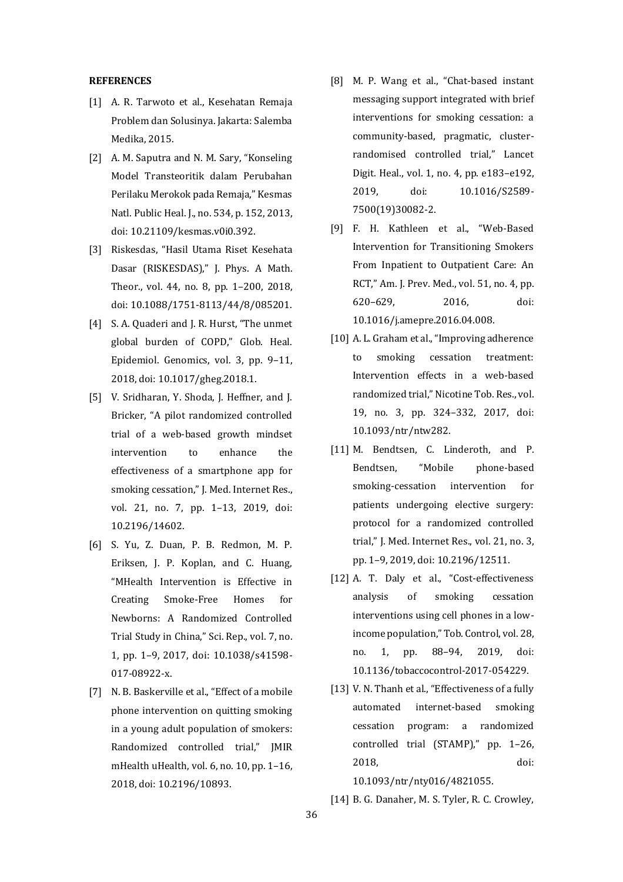# **REFERENCES**

- [1] A. R. Tarwoto et al., Kesehatan Remaja Problem dan Solusinya. Jakarta: Salemba Medika, 2015.
- [2] A. M. Saputra and N. M. Sary, "Konseling Model Transteoritik dalam Perubahan Perilaku Merokok pada Remaja," Kesmas Natl. Public Heal. J., no. 534, p. 152, 2013, doi: 10.21109/kesmas.v0i0.392.
- [3] Riskesdas, "Hasil Utama Riset Kesehata Dasar (RISKESDAS)," J. Phys. A Math. Theor., vol. 44, no. 8, pp. 1–200, 2018, doi: 10.1088/1751-8113/44/8/085201.
- [4] S. A. Quaderi and J. R. Hurst, "The unmet" global burden of COPD," Glob. Heal. Epidemiol. Genomics, vol. 3, pp. 9–11, 2018, doi: 10.1017/gheg.2018.1.
- [5] V. Sridharan, Y. Shoda, J. Heffner, and J. Bricker, "A pilot randomized controlled trial of a web-based growth mindset intervention to enhance the effectiveness of a smartphone app for smoking cessation," J. Med. Internet Res., vol. 21, no. 7, pp. 1–13, 2019, doi: 10.2196/14602.
- [6] S. Yu, Z. Duan, P. B. Redmon, M. P. Eriksen, J. P. Koplan, and C. Huang, "MHealth Intervention is Effective in Creating Smoke-Free Homes for Newborns: A Randomized Controlled Trial Study in China," Sci. Rep., vol. 7, no. 1, pp. 1–9, 2017, doi: 10.1038/s41598- 017-08922-x.
- [7] N. B. Baskerville et al., "Effect of a mobile phone intervention on quitting smoking in a young adult population of smokers: Randomized controlled trial," JMIR mHealth uHealth, vol. 6, no. 10, pp. 1–16, 2018, doi: 10.2196/10893.
- [8] M. P. Wang et al., "Chat-based instant messaging support integrated with brief interventions for smoking cessation: a community-based, pragmatic, clusterrandomised controlled trial," Lancet Digit. Heal., vol. 1, no. 4, pp. e183–e192, 2019, doi: 10.1016/S2589- 7500(19)30082-2.
- [9] F. H. Kathleen et al., "Web-Based Intervention for Transitioning Smokers From Inpatient to Outpatient Care: An RCT," Am. J. Prev. Med., vol. 51, no. 4, pp. 620–629, 2016, doi: 10.1016/j.amepre.2016.04.008.
- [10] A. L. Graham et al., "Improving adherence to smoking cessation treatment: Intervention effects in a web-based randomized trial," Nicotine Tob. Res., vol. 19, no. 3, pp. 324–332, 2017, doi: 10.1093/ntr/ntw282.
- [11] M. Bendtsen, C. Linderoth, and P. Bendtsen, "Mobile phone-based smoking-cessation intervention for patients undergoing elective surgery: protocol for a randomized controlled trial," J. Med. Internet Res., vol. 21, no. 3, pp. 1–9, 2019, doi: 10.2196/12511.
- [12] A. T. Daly et al., "Cost-effectiveness analysis of smoking cessation interventions using cell phones in a lowincome population," Tob. Control, vol. 28, no. 1, pp. 88–94, 2019, doi: 10.1136/tobaccocontrol-2017-054229.
- [13] V. N. Thanh et al., "Effectiveness of a fully automated internet-based smoking cessation program: a randomized controlled trial (STAMP)," pp. 1–26, 2018, doi:

10.1093/ntr/nty016/4821055.

[14] B. G. Danaher, M. S. Tyler, R. C. Crowley,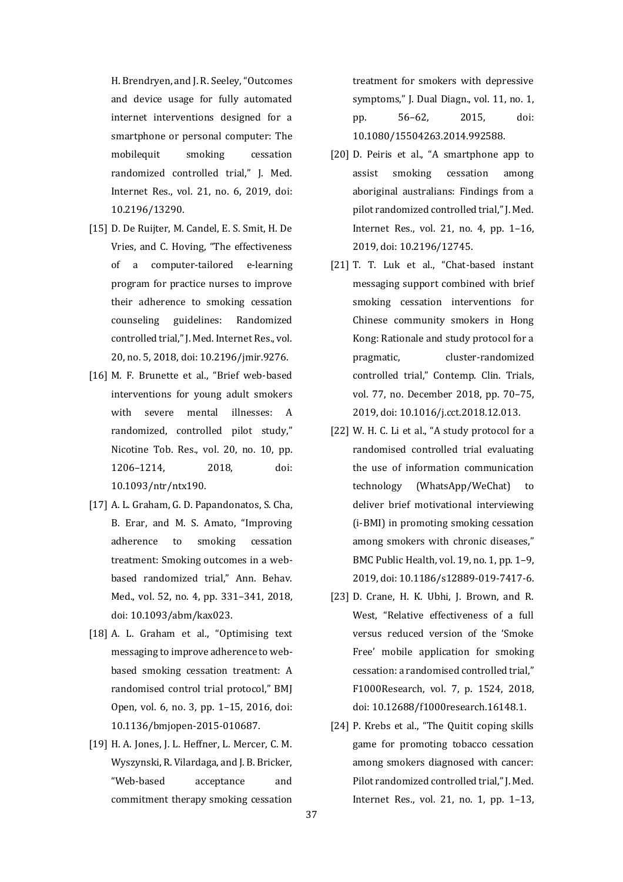H. Brendryen, and J. R. Seeley, "Outcomes and device usage for fully automated internet interventions designed for a smartphone or personal computer: The mobilequit smoking cessation randomized controlled trial," J. Med. Internet Res., vol. 21, no. 6, 2019, doi: 10.2196/13290.

- [15] D. De Ruijter, M. Candel, E. S. Smit, H. De Vries, and C. Hoving, "The effectiveness of a computer-tailored e-learning program for practice nurses to improve their adherence to smoking cessation counseling guidelines: Randomized controlled trial," J. Med. Internet Res., vol. 20, no. 5, 2018, doi: 10.2196/jmir.9276.
- [16] M. F. Brunette et al., "Brief web-based interventions for young adult smokers with severe mental illnesses: A randomized, controlled pilot study," Nicotine Tob. Res., vol. 20, no. 10, pp. 1206–1214, 2018, doi: 10.1093/ntr/ntx190.
- [17] A. L. Graham, G. D. Papandonatos, S. Cha, B. Erar, and M. S. Amato, "Improving adherence to smoking cessation treatment: Smoking outcomes in a webbased randomized trial," Ann. Behav. Med., vol. 52, no. 4, pp. 331–341, 2018, doi: 10.1093/abm/kax023.
- [18] A. L. Graham et al., "Optimising text messaging to improve adherence to webbased smoking cessation treatment: A randomised control trial protocol," BMJ Open, vol. 6, no. 3, pp. 1–15, 2016, doi: 10.1136/bmjopen-2015-010687.
- [19] H. A. Jones, J. L. Heffner, L. Mercer, C. M. Wyszynski, R. Vilardaga, and J. B. Bricker, "Web-based acceptance and commitment therapy smoking cessation

treatment for smokers with depressive symptoms," J. Dual Diagn., vol. 11, no. 1, pp. 56–62, 2015, doi: 10.1080/15504263.2014.992588.

- [20] D. Peiris et al., "A smartphone app to assist smoking cessation among aboriginal australians: Findings from a pilot randomized controlled trial," J. Med. Internet Res., vol. 21, no. 4, pp. 1–16, 2019, doi: 10.2196/12745.
- [21] T. T. Luk et al., "Chat-based instant messaging support combined with brief smoking cessation interventions for Chinese community smokers in Hong Kong: Rationale and study protocol for a pragmatic, cluster-randomized controlled trial," Contemp. Clin. Trials, vol. 77, no. December 2018, pp. 70–75, 2019, doi: 10.1016/j.cct.2018.12.013.
- [22] W. H. C. Li et al., "A study protocol for a randomised controlled trial evaluating the use of information communication technology (WhatsApp/WeChat) to deliver brief motivational interviewing (i-BMI) in promoting smoking cessation among smokers with chronic diseases," BMC Public Health, vol. 19, no. 1, pp. 1–9, 2019, doi: 10.1186/s12889-019-7417-6.
- [23] D. Crane, H. K. Ubhi, J. Brown, and R. West, "Relative effectiveness of a full versus reduced version of the 'Smoke Free' mobile application for smoking cessation: a randomised controlled trial," F1000Research, vol. 7, p. 1524, 2018, doi: 10.12688/f1000research.16148.1.
- [24] P. Krebs et al., "The Quitit coping skills game for promoting tobacco cessation among smokers diagnosed with cancer: Pilot randomized controlled trial," J. Med. Internet Res., vol. 21, no. 1, pp. 1–13,